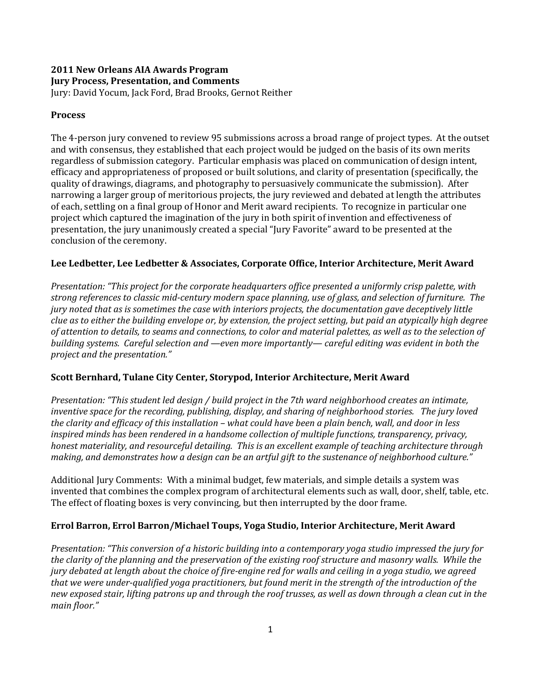### 2011 New Orleans AIA Awards Program Jury Process, Presentation, and Comments

Jury: David Yocum, Jack Ford, Brad Brooks, Gernot Reither

## Process

The 4-person jury convened to review 95 submissions across a broad range of project types. At the outset and with consensus, they established that each project would be judged on the basis of its own merits regardless of submission category. Particular emphasis was placed on communication of design intent, efficacy and appropriateness of proposed or built solutions, and clarity of presentation (specifically, the quality of drawings, diagrams, and photography to persuasively communicate the submission). After narrowing a larger group of meritorious projects, the jury reviewed and debated at length the attributes of each, settling on a final group of Honor and Merit award recipients. To recognize in particular one project which captured the imagination of the jury in both spirit of invention and effectiveness of presentation, the jury unanimously created a special "Jury Favorite" award to be presented at the conclusion of the ceremony.

## Lee Ledbetter, Lee Ledbetter & Associates, Corporate Office, Interior Architecture, Merit Award

Presentation: "This project for the corporate headquarters office presented a uniformly crisp palette, with strong references to classic mid-century modern space planning, use of glass, and selection of furniture. The jury noted that as is sometimes the case with interiors projects, the documentation gave deceptively little clue as to either the building envelope or, by extension, the project setting, but paid an atypically high degree of attention to details, to seams and connections, to color and material palettes, as well as to the selection of building systems. Careful selection and —even more importantly— careful editing was evident in both the project and the presentation."

# Scott Bernhard, Tulane City Center, Storypod, Interior Architecture, Merit Award

Presentation: "This student led design / build project in the 7th ward neighborhood creates an intimate, inventive space for the recording, publishing, display, and sharing of neighborhood stories. The jury loved the clarity and efficacy of this installation – what could have been a plain bench, wall, and door in less inspired minds has been rendered in a handsome collection of multiple functions, transparency, privacy, honest materiality, and resourceful detailing. This is an excellent example of teaching architecture through making, and demonstrates how a design can be an artful gift to the sustenance of neighborhood culture."

Additional Jury Comments: With a minimal budget, few materials, and simple details a system was invented that combines the complex program of architectural elements such as wall, door, shelf, table, etc. The effect of floating boxes is very convincing, but then interrupted by the door frame.

## Errol Barron, Errol Barron/Michael Toups, Yoga Studio, Interior Architecture, Merit Award

Presentation: "This conversion of a historic building into a contemporary yoga studio impressed the jury for the clarity of the planning and the preservation of the existing roof structure and masonry walls. While the jury debated at length about the choice of fire-engine red for walls and ceiling in a yoga studio, we agreed that we were under-qualified yoga practitioners, but found merit in the strength of the introduction of the new exposed stair, lifting patrons up and through the roof trusses, as well as down through a clean cut in the main floor."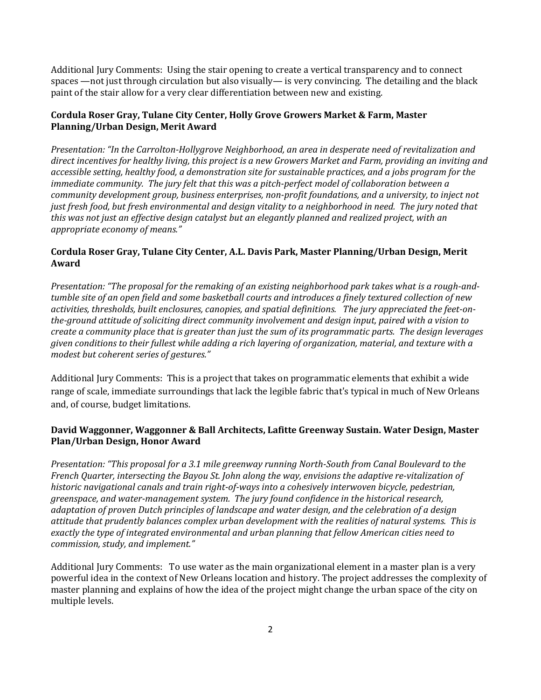Additional Jury Comments: Using the stair opening to create a vertical transparency and to connect spaces —not just through circulation but also visually— is very convincing. The detailing and the black paint of the stair allow for a very clear differentiation between new and existing.

### Cordula Roser Gray, Tulane City Center, Holly Grove Growers Market & Farm, Master Planning/Urban Design, Merit Award

Presentation: "In the Carrolton-Hollygrove Neighborhood, an area in desperate need of revitalization and direct incentives for healthy living, this project is a new Growers Market and Farm, providing an inviting and accessible setting, healthy food, a demonstration site for sustainable practices, and a jobs program for the immediate community. The jury felt that this was a pitch-perfect model of collaboration between a community development group, business enterprises, non-profit foundations, and a university, to inject not just fresh food, but fresh environmental and design vitality to a neighborhood in need. The jury noted that this was not just an effective design catalyst but an elegantly planned and realized project, with an appropriate economy of means."

### Cordula Roser Gray, Tulane City Center, A.L. Davis Park, Master Planning/Urban Design, Merit Award

Presentation: "The proposal for the remaking of an existing neighborhood park takes what is a rough-andtumble site of an open field and some basketball courts and introduces a finely textured collection of new activities, thresholds, built enclosures, canopies, and spatial definitions. The jury appreciated the feet-onthe-ground attitude of soliciting direct community involvement and design input, paired with a vision to create a community place that is greater than just the sum of its programmatic parts. The design leverages given conditions to their fullest while adding a rich layering of organization, material, and texture with a modest but coherent series of gestures."

Additional Jury Comments: This is a project that takes on programmatic elements that exhibit a wide range of scale, immediate surroundings that lack the legible fabric that's typical in much of New Orleans and, of course, budget limitations.

## David Waggonner, Waggonner & Ball Architects, Lafitte Greenway Sustain. Water Design, Master Plan/Urban Design, Honor Award

Presentation: "This proposal for a 3.1 mile greenway running North-South from Canal Boulevard to the French Quarter, intersecting the Bayou St. John along the way, envisions the adaptive re-vitalization of historic navigational canals and train right-of-ways into a cohesively interwoven bicycle, pedestrian, greenspace, and water-management system. The jury found confidence in the historical research, adaptation of proven Dutch principles of landscape and water design, and the celebration of a design attitude that prudently balances complex urban development with the realities of natural systems. This is exactly the type of integrated environmental and urban planning that fellow American cities need to commission, study, and implement."

Additional Jury Comments: To use water as the main organizational element in a master plan is a very powerful idea in the context of New Orleans location and history. The project addresses the complexity of master planning and explains of how the idea of the project might change the urban space of the city on multiple levels.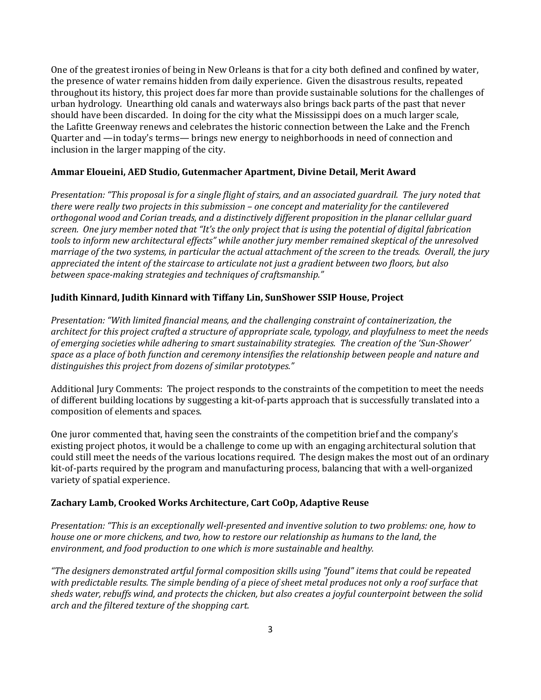One of the greatest ironies of being in New Orleans is that for a city both defined and confined by water, the presence of water remains hidden from daily experience. Given the disastrous results, repeated throughout its history, this project does far more than provide sustainable solutions for the challenges of urban hydrology. Unearthing old canals and waterways also brings back parts of the past that never should have been discarded. In doing for the city what the Mississippi does on a much larger scale, the Lafitte Greenway renews and celebrates the historic connection between the Lake and the French Quarter and —in today's terms— brings new energy to neighborhoods in need of connection and inclusion in the larger mapping of the city.

### Ammar Eloueini, AED Studio, Gutenmacher Apartment, Divine Detail, Merit Award

Presentation: "This proposal is for a single flight of stairs, and an associated guardrail. The jury noted that there were really two projects in this submission – one concept and materiality for the cantilevered orthogonal wood and Corian treads, and a distinctively different proposition in the planar cellular guard screen. One jury member noted that "It's the only project that is using the potential of digital fabrication tools to inform new architectural effects" while another jury member remained skeptical of the unresolved marriage of the two systems, in particular the actual attachment of the screen to the treads. Overall, the jury appreciated the intent of the staircase to articulate not just a gradient between two floors, but also between space-making strategies and techniques of craftsmanship."

### Judith Kinnard, Judith Kinnard with Tiffany Lin, SunShower SSIP House, Project

Presentation: "With limited financial means, and the challenging constraint of containerization, the architect for this project crafted a structure of appropriate scale, typology, and playfulness to meet the needs of emerging societies while adhering to smart sustainability strategies. The creation of the 'Sun-Shower' space as a place of both function and ceremony intensifies the relationship between people and nature and distinguishes this project from dozens of similar prototypes."

Additional Jury Comments: The project responds to the constraints of the competition to meet the needs of different building locations by suggesting a kit-of-parts approach that is successfully translated into a composition of elements and spaces.

One juror commented that, having seen the constraints of the competition brief and the company's existing project photos, it would be a challenge to come up with an engaging architectural solution that could still meet the needs of the various locations required. The design makes the most out of an ordinary kit-of-parts required by the program and manufacturing process, balancing that with a well-organized variety of spatial experience.

### Zachary Lamb, Crooked Works Architecture, Cart CoOp, Adaptive Reuse

Presentation: "This is an exceptionally well-presented and inventive solution to two problems: one, how to house one or more chickens, and two, how to restore our relationship as humans to the land, the environment, and food production to one which is more sustainable and healthy.

"The designers demonstrated artful formal composition skills using "found" items that could be repeated with predictable results. The simple bending of a piece of sheet metal produces not only a roof surface that sheds water, rebuffs wind, and protects the chicken, but also creates a joyful counterpoint between the solid arch and the filtered texture of the shopping cart.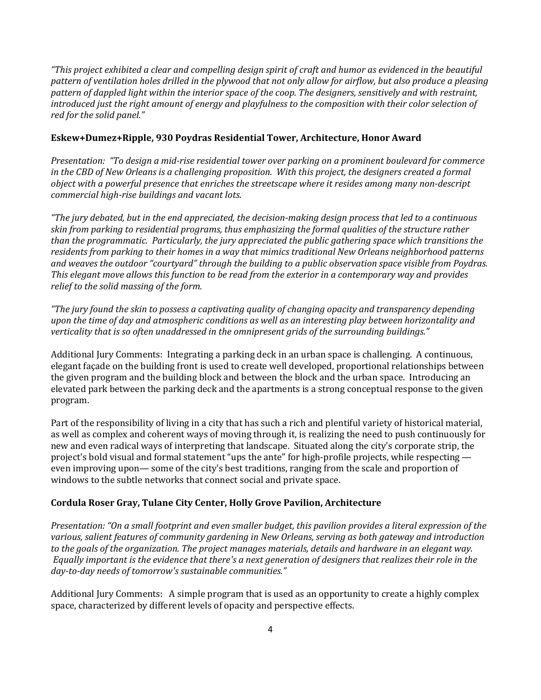"This project exhibited a clear and compelling design spirit of craft and humor as evidenced in the beautiful pattern of ventilation holes drilled in the plywood that not only allow for airflow, but also produce a pleasing pattern of dappled light within the interior space of the coop. The designers, sensitively and with restraint, introduced just the right amount of energy and playfulness to the composition with their color selection of red for the solid panel."

### Eskew+Dumez+Ripple, 930 Poydras Residential Tower, Architecture, Honor Award

Presentation: "To design a mid-rise residential tower over parking on a prominent boulevard for commerce in the CBD of New Orleans is a challenging proposition. With this project, the designers created a formal object with a powerful presence that enriches the streetscape where it resides among many non-descript commercial high-rise buildings and vacant lots.

"The jury debated, but in the end appreciated, the decision-making design process that led to a continuous skin from parking to residential programs, thus emphasizing the formal qualities of the structure rather than the programmatic. Particularly, the jury appreciated the public gathering space which transitions the residents from parking to their homes in a way that mimics traditional New Orleans neighborhood patterns and weaves the outdoor "courtyard" through the building to a public observation space visible from Poydras. This elegant move allows this function to be read from the exterior in a contemporary way and provides relief to the solid massing of the form.

"The jury found the skin to possess a captivating quality of changing opacity and transparency depending upon the time of day and atmospheric conditions as well as an interesting play between horizontality and verticality that is so often unaddressed in the omnipresent grids of the surrounding buildings."

Additional Jury Comments: Integrating a parking deck in an urban space is challenging. A continuous, elegant façade on the building front is used to create well developed, proportional relationships between the given program and the building block and between the block and the urban space. Introducing an elevated park between the parking deck and the apartments is a strong conceptual response to the given program.

Part of the responsibility of living in a city that has such a rich and plentiful variety of historical material, as well as complex and coherent ways of moving through it, is realizing the need to push continuously for new and even radical ways of interpreting that landscape. Situated along the city's corporate strip, the project's bold visual and formal statement "ups the ante" for high-profile projects, while respecting even improving upon— some of the city's best traditions, ranging from the scale and proportion of windows to the subtle networks that connect social and private space.

### Cordula Roser Gray, Tulane City Center, Holly Grove Pavilion, Architecture

Presentation: "On a small footprint and even smaller budget, this pavilion provides a literal expression of the various, salient features of community gardening in New Orleans, serving as both gateway and introduction to the goals of the organization. The project manages materials, details and hardware in an elegant way. Equally important is the evidence that there's a next generation of designers that realizes their role in the day-to-day needs of tomorrow's sustainable communities."

Additional Jury Comments: A simple program that is used as an opportunity to create a highly complex space, characterized by different levels of opacity and perspective effects.